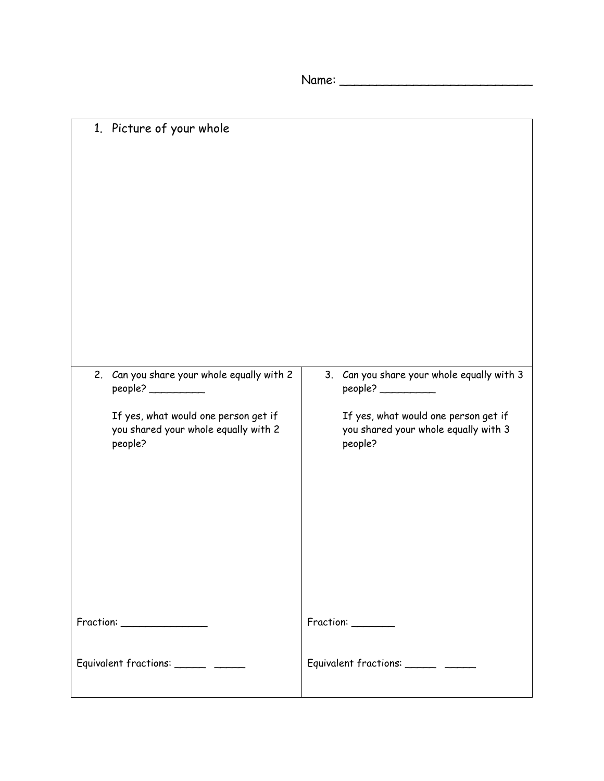Name: \_\_\_\_\_\_\_\_\_\_\_\_\_\_\_\_\_\_\_\_\_\_\_\_\_\_

| 1. Picture of your whole                                                                                                                                                                                                                                                                                                                                                                 |                                                                                         |
|------------------------------------------------------------------------------------------------------------------------------------------------------------------------------------------------------------------------------------------------------------------------------------------------------------------------------------------------------------------------------------------|-----------------------------------------------------------------------------------------|
| 2. Can you share your whole equally with 2<br>people?                                                                                                                                                                                                                                                                                                                                    | 3. Can you share your whole equally with 3<br>people?                                   |
| If yes, what would one person get if<br>you shared your whole equally with 2<br>people?                                                                                                                                                                                                                                                                                                  | If yes, what would one person get if<br>you shared your whole equally with 3<br>people? |
| $\begin{tabular}{ c c } \hline Fraction: & \hspace*{2.5cm} & \hspace*{2.5cm} & \hspace*{2.5cm} & \hspace*{2.5cm} & \hspace*{2.5cm} & \hspace*{2.5cm} & \hspace*{2.5cm} & \hspace*{2.5cm} & \hspace*{2.5cm} & \hspace*{2.5cm} & \hspace*{2.5cm} & \hspace*{2.5cm} & \hspace*{2.5cm} & \hspace*{2.5cm} & \hspace*{2.5cm} & \hspace*{2.5cm} & \hspace*{2.5cm} & \hspace*{2.5cm} & \hspace*$ | Fraction: _______                                                                       |
| Equivalent fractions: _______ _____                                                                                                                                                                                                                                                                                                                                                      | Equivalent fractions: _______ _____                                                     |